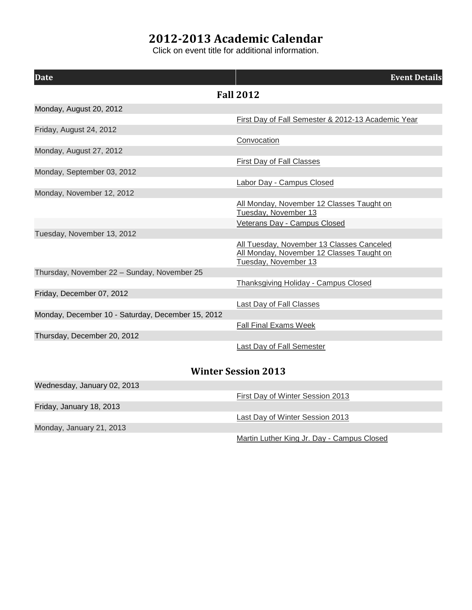## **2012-2013 Academic Calendar**

Click on event title for additional information.

| <b>Date</b>                                       | <b>Event Details</b>                                                                                           |  |
|---------------------------------------------------|----------------------------------------------------------------------------------------------------------------|--|
|                                                   | <b>Fall 2012</b>                                                                                               |  |
| Monday, August 20, 2012                           |                                                                                                                |  |
|                                                   | First Day of Fall Semester & 2012-13 Academic Year                                                             |  |
| Friday, August 24, 2012                           |                                                                                                                |  |
|                                                   | Convocation                                                                                                    |  |
| Monday, August 27, 2012                           |                                                                                                                |  |
|                                                   | <b>First Day of Fall Classes</b>                                                                               |  |
| Monday, September 03, 2012                        |                                                                                                                |  |
|                                                   | <b>Labor Day - Campus Closed</b>                                                                               |  |
| Monday, November 12, 2012                         |                                                                                                                |  |
|                                                   | All Monday, November 12 Classes Taught on<br>Tuesday, November 13                                              |  |
|                                                   | Veterans Day - Campus Closed                                                                                   |  |
| Tuesday, November 13, 2012                        |                                                                                                                |  |
|                                                   | All Tuesday, November 13 Classes Canceled<br>All Monday, November 12 Classes Taught on<br>Tuesday, November 13 |  |
| Thursday, November 22 - Sunday, November 25       |                                                                                                                |  |
|                                                   | Thanksgiving Holiday - Campus Closed                                                                           |  |
| Friday, December 07, 2012                         |                                                                                                                |  |
|                                                   | Last Day of Fall Classes                                                                                       |  |
| Monday, December 10 - Saturday, December 15, 2012 |                                                                                                                |  |
|                                                   | <b>Fall Final Exams Week</b>                                                                                   |  |
| Thursday, December 20, 2012                       |                                                                                                                |  |
|                                                   | Last Day of Fall Semester                                                                                      |  |
| <b>Winter Session 2013</b>                        |                                                                                                                |  |

| Wednesday, January 02, 2013 |                                            |
|-----------------------------|--------------------------------------------|
|                             | First Day of Winter Session 2013           |
| Friday, January 18, 2013    |                                            |
|                             | Last Day of Winter Session 2013            |
| Monday, January 21, 2013    |                                            |
|                             | Martin Luther King Jr. Day - Campus Closed |